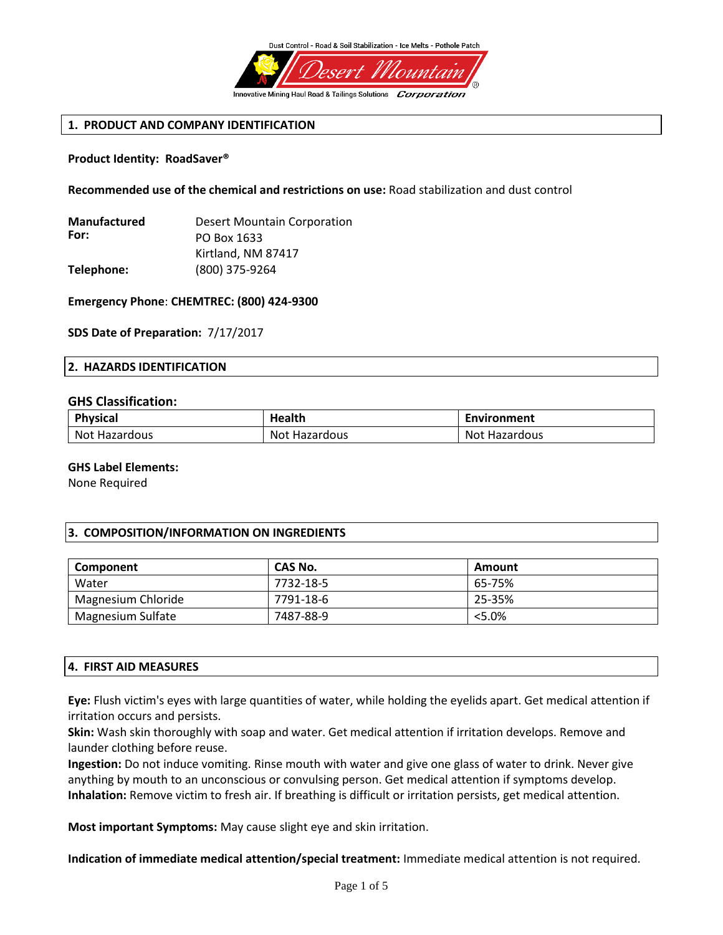

# **1. PRODUCT AND COMPANY IDENTIFICATION**

## **Product Identity: RoadSaver®**

**Recommended use of the chemical and restrictions on use:** Road stabilization and dust control

| <b>Desert Mountain Corporation</b> |
|------------------------------------|
| PO Box 1633                        |
| Kirtland, NM 87417                 |
| (800) 375-9264                     |
|                                    |

**Emergency Phone**: **CHEMTREC: (800) 424-9300**

**SDS Date of Preparation:** 7/17/2017

#### **2. HAZARDS IDENTIFICATION**

#### **GHS Classification:**

| <b>Physical</b>      | Health             | Environment      |
|----------------------|--------------------|------------------|
| <b>Not Hazardous</b> | Not l<br>Hazardous | Not<br>Hazardous |

#### **GHS Label Elements:**

None Required

## **3. COMPOSITION/INFORMATION ON INGREDIENTS**

| Component          | CAS No.   | Amount |
|--------------------|-----------|--------|
| Water              | 7732-18-5 | 65-75% |
| Magnesium Chloride | 7791-18-6 | 25-35% |
| Magnesium Sulfate  | 7487-88-9 | < 5.0% |

## **4. FIRST AID MEASURES**

**Eye:** Flush victim's eyes with large quantities of water, while holding the eyelids apart. Get medical attention if irritation occurs and persists.

**Skin:** Wash skin thoroughly with soap and water. Get medical attention if irritation develops. Remove and launder clothing before reuse.

**Ingestion:** Do not induce vomiting. Rinse mouth with water and give one glass of water to drink. Never give anything by mouth to an unconscious or convulsing person. Get medical attention if symptoms develop. **Inhalation:** Remove victim to fresh air. If breathing is difficult or irritation persists, get medical attention.

**Most important Symptoms:** May cause slight eye and skin irritation.

**Indication of immediate medical attention/special treatment:** Immediate medical attention is not required.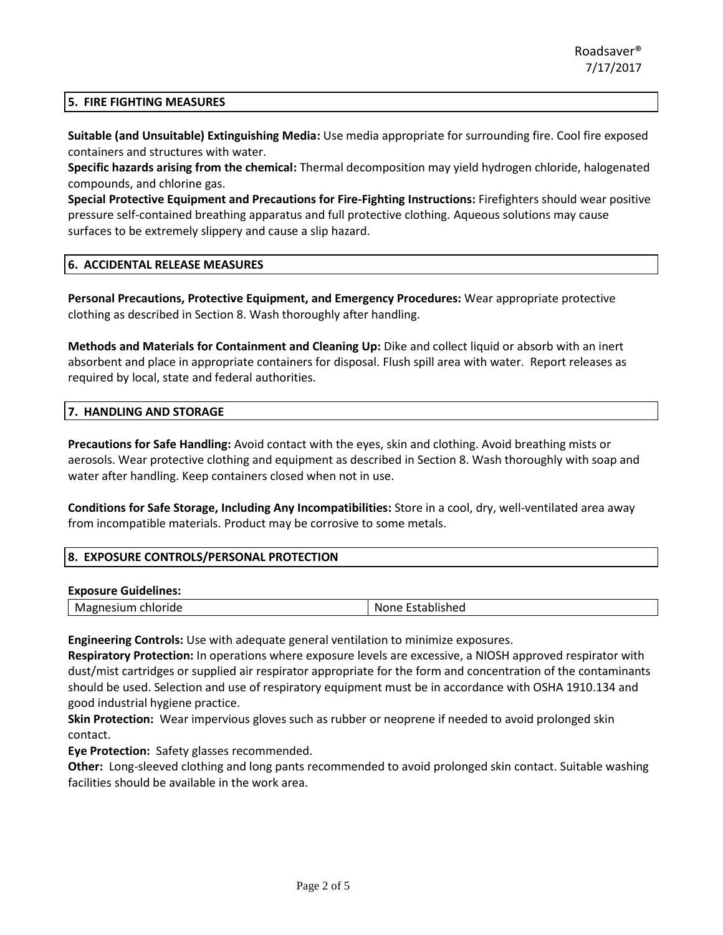## **5. FIRE FIGHTING MEASURES**

**Suitable (and Unsuitable) Extinguishing Media:** Use media appropriate for surrounding fire. Cool fire exposed containers and structures with water.

**Specific hazards arising from the chemical:** Thermal decomposition may yield hydrogen chloride, halogenated compounds, and chlorine gas.

**Special Protective Equipment and Precautions for Fire-Fighting Instructions:** Firefighters should wear positive pressure self-contained breathing apparatus and full protective clothing. Aqueous solutions may cause surfaces to be extremely slippery and cause a slip hazard.

## **6. ACCIDENTAL RELEASE MEASURES**

**Personal Precautions, Protective Equipment, and Emergency Procedures:** Wear appropriate protective clothing as described in Section 8. Wash thoroughly after handling.

**Methods and Materials for Containment and Cleaning Up:** Dike and collect liquid or absorb with an inert absorbent and place in appropriate containers for disposal. Flush spill area with water. Report releases as required by local, state and federal authorities.

#### **7. HANDLING AND STORAGE**

**Precautions for Safe Handling:** Avoid contact with the eyes, skin and clothing. Avoid breathing mists or aerosols. Wear protective clothing and equipment as described in Section 8. Wash thoroughly with soap and water after handling. Keep containers closed when not in use.

**Conditions for Safe Storage, Including Any Incompatibilities:** Store in a cool, dry, well-ventilated area away from incompatible materials. Product may be corrosive to some metals.

#### **8. EXPOSURE CONTROLS/PERSONAL PROTECTION**

#### **Exposure Guidelines:**

| Magnesium<br>Established<br>chloride<br>None |
|----------------------------------------------|
|----------------------------------------------|

**Engineering Controls:** Use with adequate general ventilation to minimize exposures.

**Respiratory Protection:** In operations where exposure levels are excessive, a NIOSH approved respirator with dust/mist cartridges or supplied air respirator appropriate for the form and concentration of the contaminants should be used. Selection and use of respiratory equipment must be in accordance with OSHA 1910.134 and good industrial hygiene practice.

**Skin Protection:** Wear impervious gloves such as rubber or neoprene if needed to avoid prolonged skin contact.

**Eye Protection:** Safety glasses recommended.

**Other:** Long-sleeved clothing and long pants recommended to avoid prolonged skin contact. Suitable washing facilities should be available in the work area.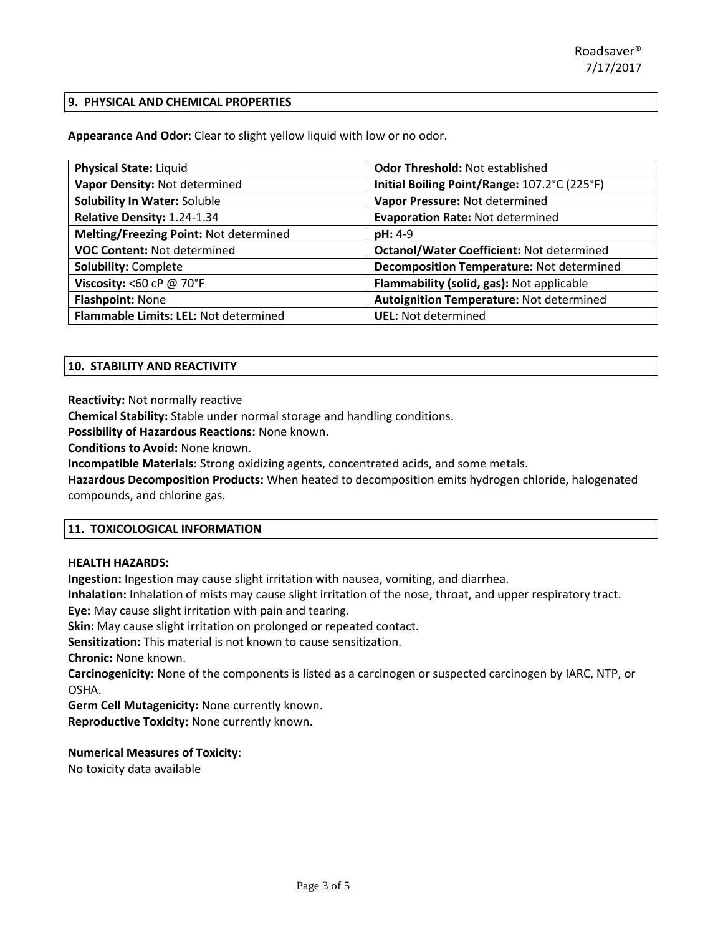## **9. PHYSICAL AND CHEMICAL PROPERTIES**

**Appearance And Odor:** Clear to slight yellow liquid with low or no odor.

| <b>Physical State: Liquid</b>          | Odor Threshold: Not established                  |
|----------------------------------------|--------------------------------------------------|
| Vapor Density: Not determined          | Initial Boiling Point/Range: 107.2°C (225°F)     |
| <b>Solubility In Water: Soluble</b>    | Vapor Pressure: Not determined                   |
| Relative Density: 1.24-1.34            | <b>Evaporation Rate: Not determined</b>          |
| Melting/Freezing Point: Not determined | pH: 4-9                                          |
| <b>VOC Content: Not determined</b>     | <b>Octanol/Water Coefficient: Not determined</b> |
| <b>Solubility: Complete</b>            | Decomposition Temperature: Not determined        |
| Viscosity: <60 cP $@$ 70°F             | Flammability (solid, gas): Not applicable        |
| <b>Flashpoint: None</b>                | Autoignition Temperature: Not determined         |
| Flammable Limits: LEL: Not determined  | <b>UEL:</b> Not determined                       |

# **10. STABILITY AND REACTIVITY**

**Reactivity:** Not normally reactive

**Chemical Stability:** Stable under normal storage and handling conditions.

**Possibility of Hazardous Reactions:** None known.

**Conditions to Avoid:** None known.

**Incompatible Materials:** Strong oxidizing agents, concentrated acids, and some metals.

**Hazardous Decomposition Products:** When heated to decomposition emits hydrogen chloride, halogenated compounds, and chlorine gas.

## **11. TOXICOLOGICAL INFORMATION**

## **HEALTH HAZARDS:**

**Ingestion:** Ingestion may cause slight irritation with nausea, vomiting, and diarrhea.

**Inhalation:** Inhalation of mists may cause slight irritation of the nose, throat, and upper respiratory tract.

**Eye:** May cause slight irritation with pain and tearing.

**Skin:** May cause slight irritation on prolonged or repeated contact.

**Sensitization:** This material is not known to cause sensitization.

**Chronic:** None known.

**Carcinogenicity:** None of the components is listed as a carcinogen or suspected carcinogen by IARC, NTP, or OSHA.

**Germ Cell Mutagenicity:** None currently known.

**Reproductive Toxicity:** None currently known.

# **Numerical Measures of Toxicity**:

No toxicity data available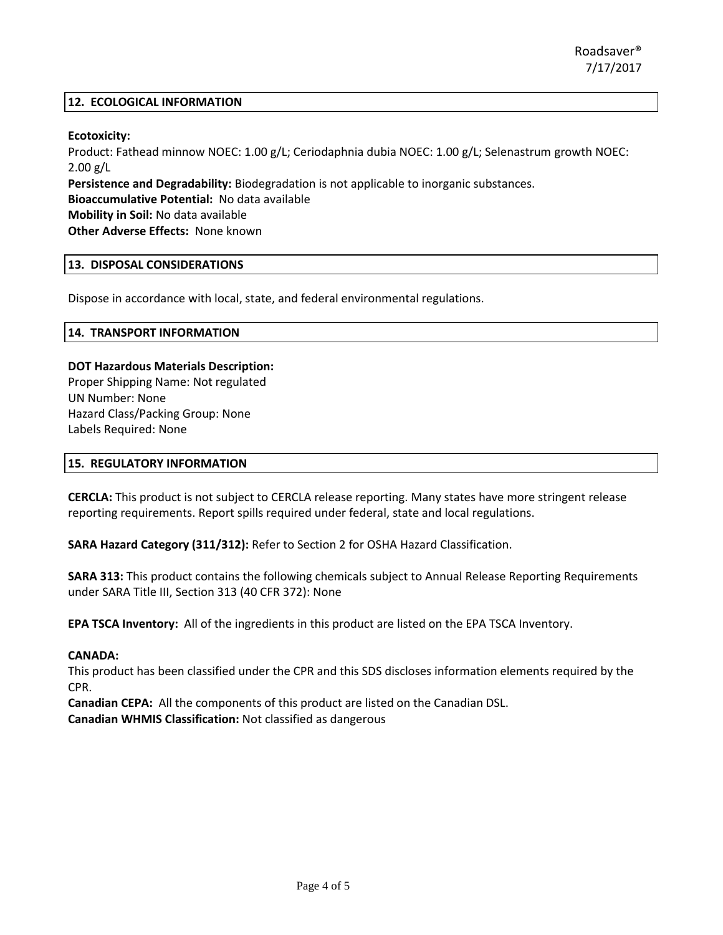## **12. ECOLOGICAL INFORMATION**

# **Ecotoxicity:**

Product: Fathead minnow NOEC: 1.00 g/L; Ceriodaphnia dubia NOEC: 1.00 g/L; Selenastrum growth NOEC:  $2.00$  g/L

**Persistence and Degradability:** Biodegradation is not applicable to inorganic substances. **Bioaccumulative Potential:** No data available **Mobility in Soil:** No data available

**Other Adverse Effects:** None known

# **13. DISPOSAL CONSIDERATIONS**

Dispose in accordance with local, state, and federal environmental regulations.

## **14. TRANSPORT INFORMATION**

# **DOT Hazardous Materials Description:**

Proper Shipping Name: Not regulated UN Number: None Hazard Class/Packing Group: None Labels Required: None

## **15. REGULATORY INFORMATION**

**CERCLA:** This product is not subject to CERCLA release reporting. Many states have more stringent release reporting requirements. Report spills required under federal, state and local regulations.

**SARA Hazard Category (311/312):** Refer to Section 2 for OSHA Hazard Classification.

**SARA 313:** This product contains the following chemicals subject to Annual Release Reporting Requirements under SARA Title III, Section 313 (40 CFR 372): None

**EPA TSCA Inventory:** All of the ingredients in this product are listed on the EPA TSCA Inventory.

# **CANADA:**

This product has been classified under the CPR and this SDS discloses information elements required by the CPR.

**Canadian CEPA:** All the components of this product are listed on the Canadian DSL. **Canadian WHMIS Classification:** Not classified as dangerous